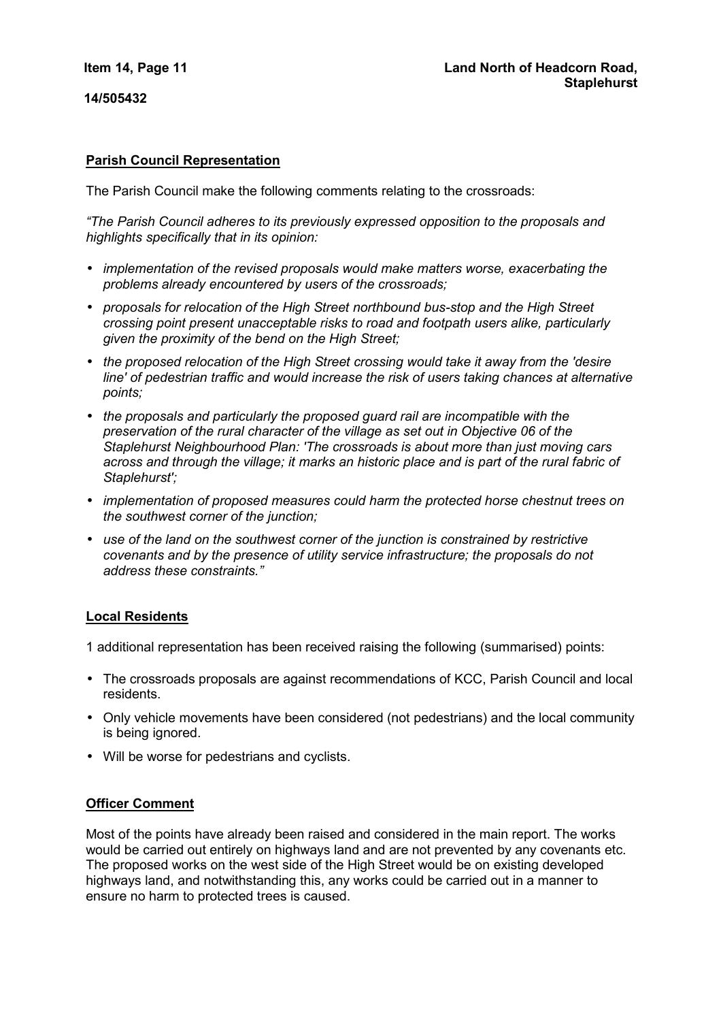**14/505432** 

# **Parish Council Representation**

The Parish Council make the following comments relating to the crossroads:

*"The Parish Council adheres to its previously expressed opposition to the proposals and highlights specifically that in its opinion:* 

- *implementation of the revised proposals would make matters worse, exacerbating the problems already encountered by users of the crossroads;*
- *proposals for relocation of the High Street northbound bus-stop and the High Street crossing point present unacceptable risks to road and footpath users alike, particularly given the proximity of the bend on the High Street;*
- *the proposed relocation of the High Street crossing would take it away from the 'desire line' of pedestrian traffic and would increase the risk of users taking chances at alternative points;*
- *the proposals and particularly the proposed guard rail are incompatible with the preservation of the rural character of the village as set out in Objective 06 of the Staplehurst Neighbourhood Plan: 'The crossroads is about more than just moving cars across and through the village; it marks an historic place and is part of the rural fabric of Staplehurst';*
- *implementation of proposed measures could harm the protected horse chestnut trees on the southwest corner of the junction;*
- *use of the land on the southwest corner of the junction is constrained by restrictive covenants and by the presence of utility service infrastructure; the proposals do not address these constraints."*

## **Local Residents**

1 additional representation has been received raising the following (summarised) points:

- The crossroads proposals are against recommendations of KCC, Parish Council and local residents.
- Only vehicle movements have been considered (not pedestrians) and the local community is being ignored.
- Will be worse for pedestrians and cyclists.

## **Officer Comment**

Most of the points have already been raised and considered in the main report. The works would be carried out entirely on highways land and are not prevented by any covenants etc. The proposed works on the west side of the High Street would be on existing developed highways land, and notwithstanding this, any works could be carried out in a manner to ensure no harm to protected trees is caused.